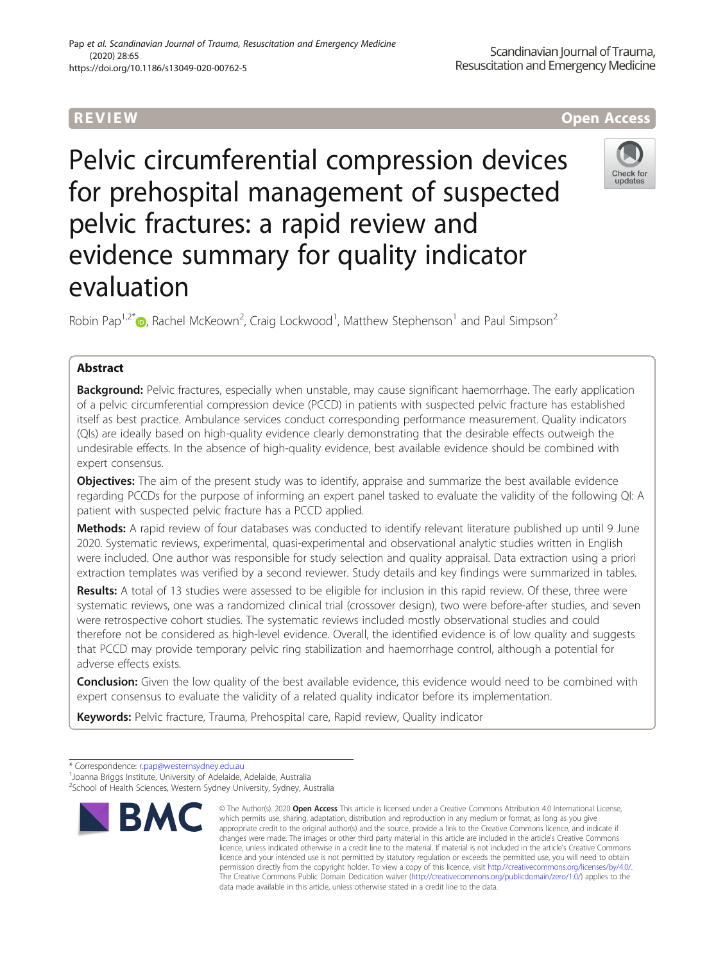# Pelvic circumferential compression devices for prehospital management of suspected pelvic fractures: a rapid review and evidence summary for quality indicator evaluation

Robin Pap<sup>1,2[\\*](https://orcid.org/0000-0002-7058-0341)</sup> $\bullet$ , Rachel McKeown<sup>2</sup>, Craig Lockwood<sup>1</sup>, Matthew Stephenson<sup>1</sup> and Paul Simpson<sup>2</sup>

# Abstract

Background: Pelvic fractures, especially when unstable, may cause significant haemorrhage. The early application of a pelvic circumferential compression device (PCCD) in patients with suspected pelvic fracture has established itself as best practice. Ambulance services conduct corresponding performance measurement. Quality indicators (QIs) are ideally based on high-quality evidence clearly demonstrating that the desirable effects outweigh the undesirable effects. In the absence of high-quality evidence, best available evidence should be combined with expert consensus.

**Objectives:** The aim of the present study was to identify, appraise and summarize the best available evidence regarding PCCDs for the purpose of informing an expert panel tasked to evaluate the validity of the following QI: A patient with suspected pelvic fracture has a PCCD applied.

Methods: A rapid review of four databases was conducted to identify relevant literature published up until 9 June 2020. Systematic reviews, experimental, quasi-experimental and observational analytic studies written in English were included. One author was responsible for study selection and quality appraisal. Data extraction using a priori extraction templates was verified by a second reviewer. Study details and key findings were summarized in tables.

Results: A total of 13 studies were assessed to be eligible for inclusion in this rapid review. Of these, three were systematic reviews, one was a randomized clinical trial (crossover design), two were before-after studies, and seven were retrospective cohort studies. The systematic reviews included mostly observational studies and could therefore not be considered as high-level evidence. Overall, the identified evidence is of low quality and suggests that PCCD may provide temporary pelvic ring stabilization and haemorrhage control, although a potential for adverse effects exists.

**Conclusion:** Given the low quality of the best available evidence, this evidence would need to be combined with expert consensus to evaluate the validity of a related quality indicator before its implementation.

> © The Author(s). 2020 Open Access This article is licensed under a Creative Commons Attribution 4.0 International License, which permits use, sharing, adaptation, distribution and reproduction in any medium or format, as long as you give appropriate credit to the original author(s) and the source, provide a link to the Creative Commons licence, and indicate if

Keywords: Pelvic fracture, Trauma, Prehospital care, Rapid review, Quality indicator

**RMC** 







<sup>\*</sup> Correspondence: [r.pap@westernsydney.edu.au](mailto:r.pap@westernsydney.edu.au) <sup>1</sup>

<sup>&</sup>lt;sup>1</sup>Joanna Briggs Institute, University of Adelaide, Adelaide, Australia 2 School of Health Sciences, Western Sydney University, Sydney, Australia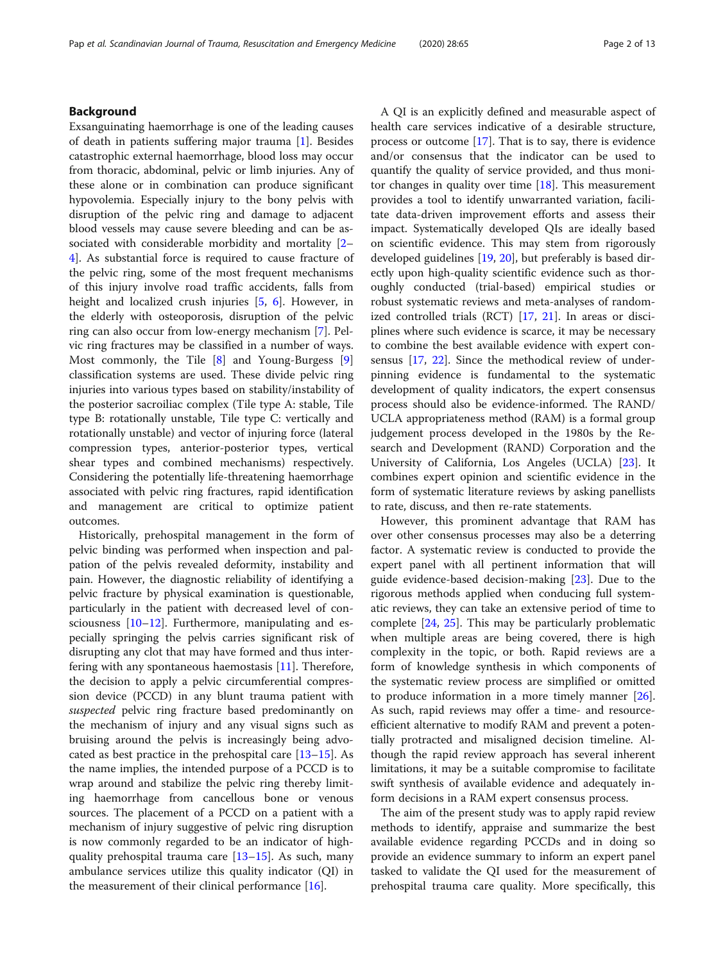# Background

Exsanguinating haemorrhage is one of the leading causes of death in patients suffering major trauma [\[1](#page-10-0)]. Besides catastrophic external haemorrhage, blood loss may occur from thoracic, abdominal, pelvic or limb injuries. Any of these alone or in combination can produce significant hypovolemia. Especially injury to the bony pelvis with disruption of the pelvic ring and damage to adjacent blood vessels may cause severe bleeding and can be associated with considerable morbidity and mortality [[2](#page-10-0)– [4\]](#page-10-0). As substantial force is required to cause fracture of the pelvic ring, some of the most frequent mechanisms of this injury involve road traffic accidents, falls from height and localized crush injuries [\[5](#page-10-0), [6](#page-10-0)]. However, in the elderly with osteoporosis, disruption of the pelvic ring can also occur from low-energy mechanism [\[7](#page-10-0)]. Pelvic ring fractures may be classified in a number of ways. Most commonly, the Tile [[8\]](#page-10-0) and Young-Burgess [\[9](#page-10-0)] classification systems are used. These divide pelvic ring injuries into various types based on stability/instability of the posterior sacroiliac complex (Tile type A: stable, Tile type B: rotationally unstable, Tile type C: vertically and rotationally unstable) and vector of injuring force (lateral compression types, anterior-posterior types, vertical shear types and combined mechanisms) respectively. Considering the potentially life-threatening haemorrhage associated with pelvic ring fractures, rapid identification and management are critical to optimize patient outcomes.

Historically, prehospital management in the form of pelvic binding was performed when inspection and palpation of the pelvis revealed deformity, instability and pain. However, the diagnostic reliability of identifying a pelvic fracture by physical examination is questionable, particularly in the patient with decreased level of consciousness [[10](#page-10-0)–[12](#page-10-0)]. Furthermore, manipulating and especially springing the pelvis carries significant risk of disrupting any clot that may have formed and thus interfering with any spontaneous haemostasis [[11\]](#page-10-0). Therefore, the decision to apply a pelvic circumferential compression device (PCCD) in any blunt trauma patient with suspected pelvic ring fracture based predominantly on the mechanism of injury and any visual signs such as bruising around the pelvis is increasingly being advocated as best practice in the prehospital care [[13](#page-11-0)–[15](#page-11-0)]. As the name implies, the intended purpose of a PCCD is to wrap around and stabilize the pelvic ring thereby limiting haemorrhage from cancellous bone or venous sources. The placement of a PCCD on a patient with a mechanism of injury suggestive of pelvic ring disruption is now commonly regarded to be an indicator of highquality prehospital trauma care  $[13-15]$  $[13-15]$  $[13-15]$ . As such, many ambulance services utilize this quality indicator (QI) in the measurement of their clinical performance [\[16](#page-11-0)].

A QI is an explicitly defined and measurable aspect of health care services indicative of a desirable structure, process or outcome [[17](#page-11-0)]. That is to say, there is evidence and/or consensus that the indicator can be used to quantify the quality of service provided, and thus monitor changes in quality over time  $[18]$  $[18]$ . This measurement provides a tool to identify unwarranted variation, facilitate data-driven improvement efforts and assess their impact. Systematically developed QIs are ideally based on scientific evidence. This may stem from rigorously developed guidelines [[19](#page-11-0), [20](#page-11-0)], but preferably is based directly upon high-quality scientific evidence such as thoroughly conducted (trial-based) empirical studies or robust systematic reviews and meta-analyses of randomized controlled trials (RCT) [\[17](#page-11-0), [21](#page-11-0)]. In areas or disciplines where such evidence is scarce, it may be necessary to combine the best available evidence with expert consensus [[17,](#page-11-0) [22\]](#page-11-0). Since the methodical review of underpinning evidence is fundamental to the systematic development of quality indicators, the expert consensus process should also be evidence-informed. The RAND/ UCLA appropriateness method (RAM) is a formal group judgement process developed in the 1980s by the Research and Development (RAND) Corporation and the University of California, Los Angeles (UCLA) [[23](#page-11-0)]. It combines expert opinion and scientific evidence in the form of systematic literature reviews by asking panellists to rate, discuss, and then re-rate statements.

However, this prominent advantage that RAM has over other consensus processes may also be a deterring factor. A systematic review is conducted to provide the expert panel with all pertinent information that will guide evidence-based decision-making [\[23](#page-11-0)]. Due to the rigorous methods applied when conducing full systematic reviews, they can take an extensive period of time to complete [\[24,](#page-11-0) [25\]](#page-11-0). This may be particularly problematic when multiple areas are being covered, there is high complexity in the topic, or both. Rapid reviews are a form of knowledge synthesis in which components of the systematic review process are simplified or omitted to produce information in a more timely manner [\[26](#page-11-0)]. As such, rapid reviews may offer a time- and resourceefficient alternative to modify RAM and prevent a potentially protracted and misaligned decision timeline. Although the rapid review approach has several inherent limitations, it may be a suitable compromise to facilitate swift synthesis of available evidence and adequately inform decisions in a RAM expert consensus process.

The aim of the present study was to apply rapid review methods to identify, appraise and summarize the best available evidence regarding PCCDs and in doing so provide an evidence summary to inform an expert panel tasked to validate the QI used for the measurement of prehospital trauma care quality. More specifically, this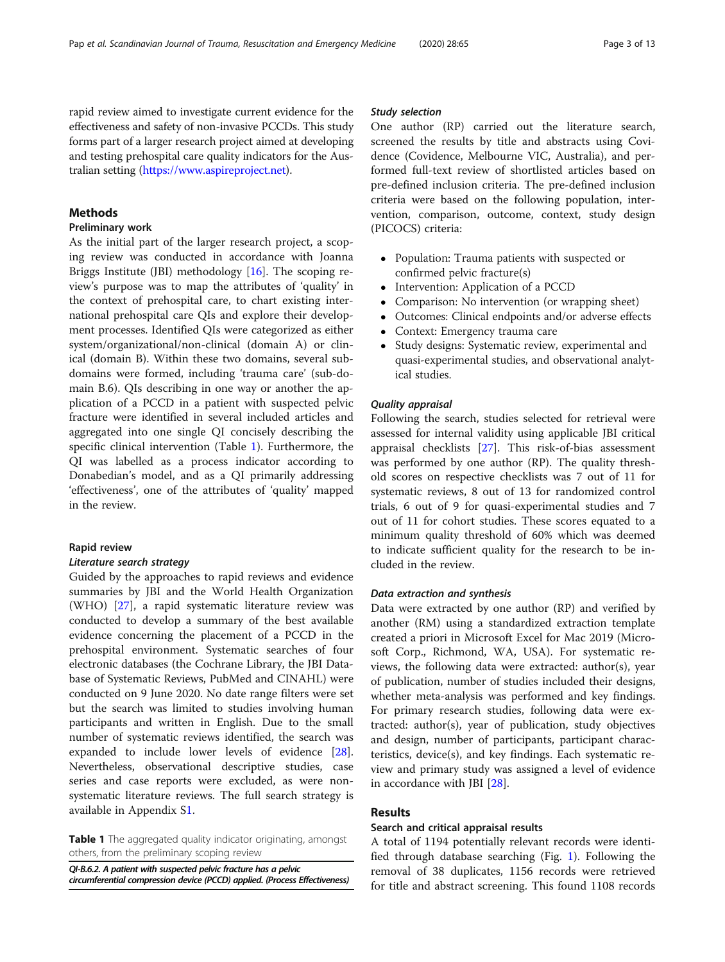rapid review aimed to investigate current evidence for the effectiveness and safety of non-invasive PCCDs. This study forms part of a larger research project aimed at developing and testing prehospital care quality indicators for the Australian setting [\(https://www.aspireproject.net\)](https://www.aspireproject.net).

# **Methods**

# Preliminary work

As the initial part of the larger research project, a scoping review was conducted in accordance with Joanna Briggs Institute (JBI) methodology [[16](#page-11-0)]. The scoping review's purpose was to map the attributes of 'quality' in the context of prehospital care, to chart existing international prehospital care QIs and explore their development processes. Identified QIs were categorized as either system/organizational/non-clinical (domain A) or clinical (domain B). Within these two domains, several subdomains were formed, including 'trauma care' (sub-domain B.6). QIs describing in one way or another the application of a PCCD in a patient with suspected pelvic fracture were identified in several included articles and aggregated into one single QI concisely describing the specific clinical intervention (Table 1). Furthermore, the QI was labelled as a process indicator according to Donabedian's model, and as a QI primarily addressing 'effectiveness', one of the attributes of 'quality' mapped in the review.

# Rapid review

## Literature search strategy

Guided by the approaches to rapid reviews and evidence summaries by JBI and the World Health Organization (WHO) [[27\]](#page-11-0), a rapid systematic literature review was conducted to develop a summary of the best available evidence concerning the placement of a PCCD in the prehospital environment. Systematic searches of four electronic databases (the Cochrane Library, the JBI Database of Systematic Reviews, PubMed and CINAHL) were conducted on 9 June 2020. No date range filters were set but the search was limited to studies involving human participants and written in English. Due to the small number of systematic reviews identified, the search was expanded to include lower levels of evidence [\[28](#page-11-0)]. Nevertheless, observational descriptive studies, case series and case reports were excluded, as were nonsystematic literature reviews. The full search strategy is available in Appendix [S1](#page-10-0).

**Table 1** The aggregated quality indicator originating, amongst others, from the preliminary scoping review

QI-B.6.2. A patient with suspected pelvic fracture has a pelvic circumferential compression device (PCCD) applied. (Process Effectiveness)

## Study selection

One author (RP) carried out the literature search, screened the results by title and abstracts using Covidence (Covidence, Melbourne VIC, Australia), and performed full-text review of shortlisted articles based on pre-defined inclusion criteria. The pre-defined inclusion criteria were based on the following population, intervention, comparison, outcome, context, study design (PICOCS) criteria:

- Population: Trauma patients with suspected or confirmed pelvic fracture(s)
- Intervention: Application of a PCCD<br>• Comparison: No intervention (or wra
- Comparison: No intervention (or wrapping sheet)
- Outcomes: Clinical endpoints and/or adverse effects
- Context: Emergency trauma care
- Study designs: Systematic review, experimental and quasi-experimental studies, and observational analytical studies.

# Quality appraisal

Following the search, studies selected for retrieval were assessed for internal validity using applicable JBI critical appraisal checklists [[27\]](#page-11-0). This risk-of-bias assessment was performed by one author (RP). The quality threshold scores on respective checklists was 7 out of 11 for systematic reviews, 8 out of 13 for randomized control trials, 6 out of 9 for quasi-experimental studies and 7 out of 11 for cohort studies. These scores equated to a minimum quality threshold of 60% which was deemed to indicate sufficient quality for the research to be included in the review.

## Data extraction and synthesis

Data were extracted by one author (RP) and verified by another (RM) using a standardized extraction template created a priori in Microsoft Excel for Mac 2019 (Microsoft Corp., Richmond, WA, USA). For systematic reviews, the following data were extracted: author(s), year of publication, number of studies included their designs, whether meta-analysis was performed and key findings. For primary research studies, following data were extracted: author(s), year of publication, study objectives and design, number of participants, participant characteristics, device(s), and key findings. Each systematic review and primary study was assigned a level of evidence in accordance with JBI [\[28](#page-11-0)].

## Results

# Search and critical appraisal results

A total of 1194 potentially relevant records were identified through database searching (Fig. [1](#page-3-0)). Following the removal of 38 duplicates, 1156 records were retrieved for title and abstract screening. This found 1108 records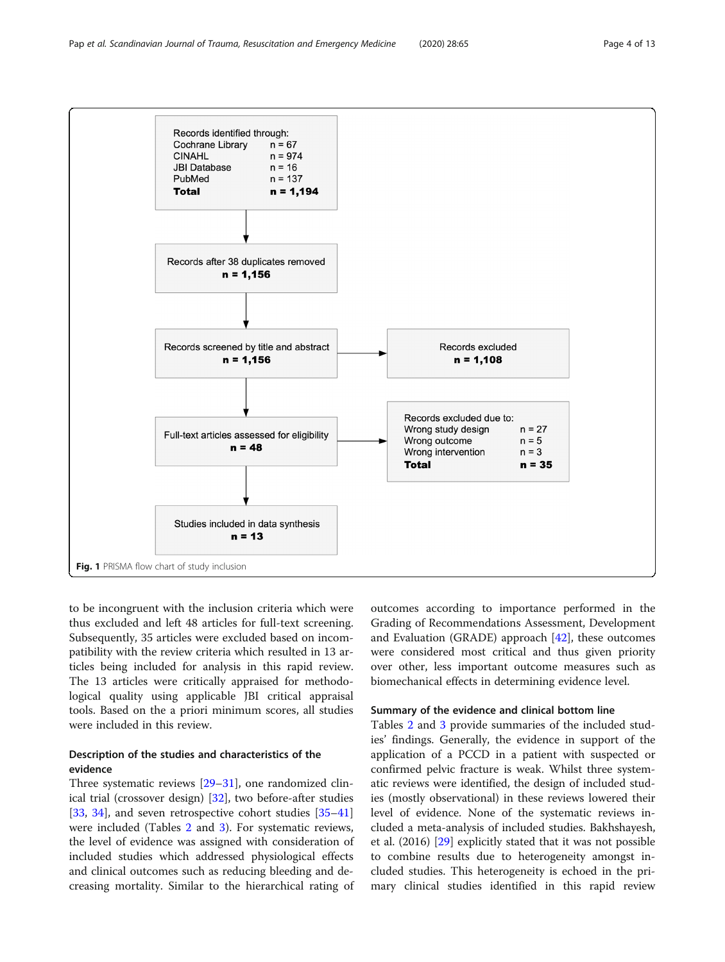<span id="page-3-0"></span>

to be incongruent with the inclusion criteria which were thus excluded and left 48 articles for full-text screening. Subsequently, 35 articles were excluded based on incompatibility with the review criteria which resulted in 13 articles being included for analysis in this rapid review. The 13 articles were critically appraised for methodological quality using applicable JBI critical appraisal tools. Based on the a priori minimum scores, all studies were included in this review.

# Description of the studies and characteristics of the evidence

Three systematic reviews [\[29](#page-11-0)–[31\]](#page-11-0), one randomized clinical trial (crossover design) [\[32](#page-11-0)], two before-after studies [[33,](#page-11-0) [34](#page-11-0)], and seven retrospective cohort studies [[35](#page-11-0)–[41](#page-11-0)] were included (Tables [2](#page-4-0) and [3](#page-5-0)). For systematic reviews, the level of evidence was assigned with consideration of included studies which addressed physiological effects and clinical outcomes such as reducing bleeding and decreasing mortality. Similar to the hierarchical rating of

outcomes according to importance performed in the Grading of Recommendations Assessment, Development and Evaluation (GRADE) approach [\[42](#page-11-0)], these outcomes were considered most critical and thus given priority over other, less important outcome measures such as biomechanical effects in determining evidence level.

## Summary of the evidence and clinical bottom line

Tables [2](#page-4-0) and [3](#page-5-0) provide summaries of the included studies' findings. Generally, the evidence in support of the application of a PCCD in a patient with suspected or confirmed pelvic fracture is weak. Whilst three systematic reviews were identified, the design of included studies (mostly observational) in these reviews lowered their level of evidence. None of the systematic reviews included a meta-analysis of included studies. Bakhshayesh, et al. (2016) [[29\]](#page-11-0) explicitly stated that it was not possible to combine results due to heterogeneity amongst included studies. This heterogeneity is echoed in the primary clinical studies identified in this rapid review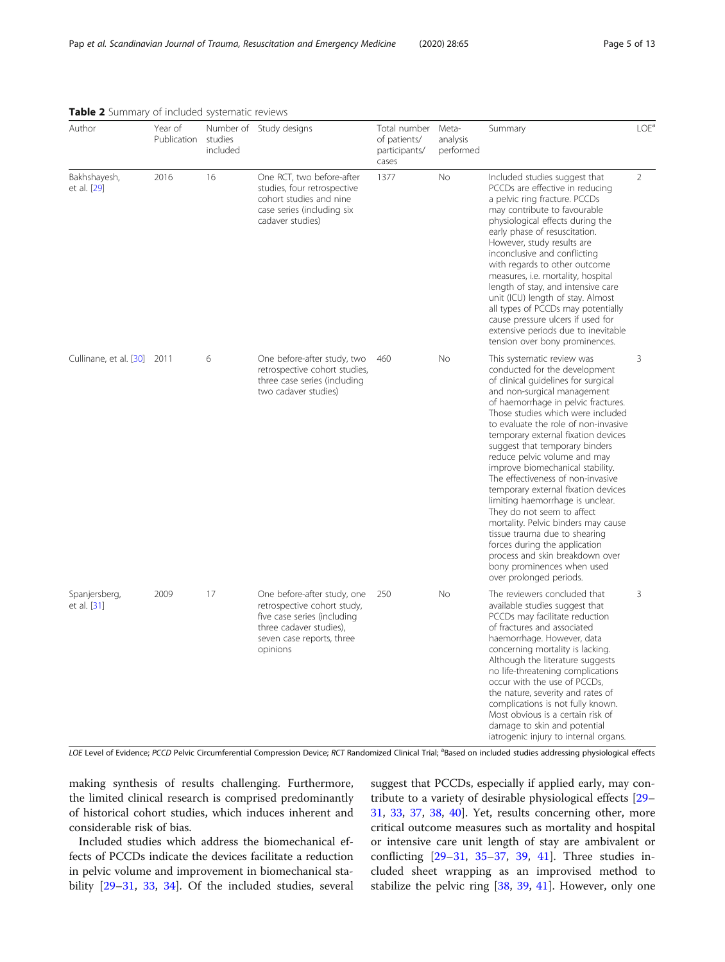| Author                       | Year of<br>Publication | studies<br>included | Number of Study designs                                                                                                                                       | Total number<br>of patients/<br>participants/<br>cases | Meta-<br>analysis<br>performed | Summary                                                                                                                                                                                                                                                                                                                                                                                                                                                                                                                                                                                                                                                                                                                                               | LOE <sup>a</sup> |
|------------------------------|------------------------|---------------------|---------------------------------------------------------------------------------------------------------------------------------------------------------------|--------------------------------------------------------|--------------------------------|-------------------------------------------------------------------------------------------------------------------------------------------------------------------------------------------------------------------------------------------------------------------------------------------------------------------------------------------------------------------------------------------------------------------------------------------------------------------------------------------------------------------------------------------------------------------------------------------------------------------------------------------------------------------------------------------------------------------------------------------------------|------------------|
| Bakhshayesh,<br>et al. [29]  | 2016                   | 16                  | One RCT, two before-after<br>studies, four retrospective<br>cohort studies and nine<br>case series (including six<br>cadaver studies)                         | 1377                                                   | <b>No</b>                      | Included studies suggest that<br>PCCDs are effective in reducing<br>a pelvic ring fracture. PCCDs<br>may contribute to favourable<br>physiological effects during the<br>early phase of resuscitation.<br>However, study results are<br>inconclusive and conflicting<br>with regards to other outcome<br>measures, i.e. mortality, hospital<br>length of stay, and intensive care<br>unit (ICU) length of stay. Almost<br>all types of PCCDs may potentially<br>cause pressure ulcers if used for<br>extensive periods due to inevitable<br>tension over bony prominences.                                                                                                                                                                            | $\overline{2}$   |
| Cullinane, et al. [30] 2011  |                        | 6                   | One before-after study, two<br>retrospective cohort studies,<br>three case series (including<br>two cadaver studies)                                          | 460                                                    | <b>No</b>                      | This systematic review was<br>conducted for the development<br>of clinical quidelines for surgical<br>and non-surgical management<br>of haemorrhage in pelvic fractures.<br>Those studies which were included<br>to evaluate the role of non-invasive<br>temporary external fixation devices<br>suggest that temporary binders<br>reduce pelvic volume and may<br>improve biomechanical stability.<br>The effectiveness of non-invasive<br>temporary external fixation devices<br>limiting haemorrhage is unclear.<br>They do not seem to affect<br>mortality. Pelvic binders may cause<br>tissue trauma due to shearing<br>forces during the application<br>process and skin breakdown over<br>bony prominences when used<br>over prolonged periods. | 3                |
| Spanjersberg,<br>et al. [31] | 2009                   | 17                  | One before-after study, one<br>retrospective cohort study,<br>five case series (including<br>three cadaver studies),<br>seven case reports, three<br>opinions | 250                                                    | No                             | The reviewers concluded that<br>available studies suggest that<br>PCCDs may facilitate reduction<br>of fractures and associated<br>haemorrhage. However, data<br>concerning mortality is lacking.<br>Although the literature suggests<br>no life-threatening complications<br>occur with the use of PCCDs,<br>the nature, severity and rates of<br>complications is not fully known.<br>Most obvious is a certain risk of<br>damage to skin and potential<br>iatrogenic injury to internal organs.                                                                                                                                                                                                                                                    | 3                |

<span id="page-4-0"></span>Table 2 Summary of included systematic reviews

LOE Level of Evidence; PCCD Pelvic Circumferential Compression Device; RCT Randomized Clinical Trial; <sup>a</sup>Based on included studies addressing physiological effects

making synthesis of results challenging. Furthermore, the limited clinical research is comprised predominantly of historical cohort studies, which induces inherent and considerable risk of bias.

Included studies which address the biomechanical effects of PCCDs indicate the devices facilitate a reduction in pelvic volume and improvement in biomechanical stability [\[29](#page-11-0)–[31,](#page-11-0) [33,](#page-11-0) [34](#page-11-0)]. Of the included studies, several suggest that PCCDs, especially if applied early, may contribute to a variety of desirable physiological effects [[29](#page-11-0)– [31,](#page-11-0) [33,](#page-11-0) [37,](#page-11-0) [38,](#page-11-0) [40](#page-11-0)]. Yet, results concerning other, more critical outcome measures such as mortality and hospital or intensive care unit length of stay are ambivalent or conflicting [[29](#page-11-0)–[31](#page-11-0), [35](#page-11-0)–[37](#page-11-0), [39,](#page-11-0) [41\]](#page-11-0). Three studies included sheet wrapping as an improvised method to stabilize the pelvic ring [\[38,](#page-11-0) [39,](#page-11-0) [41\]](#page-11-0). However, only one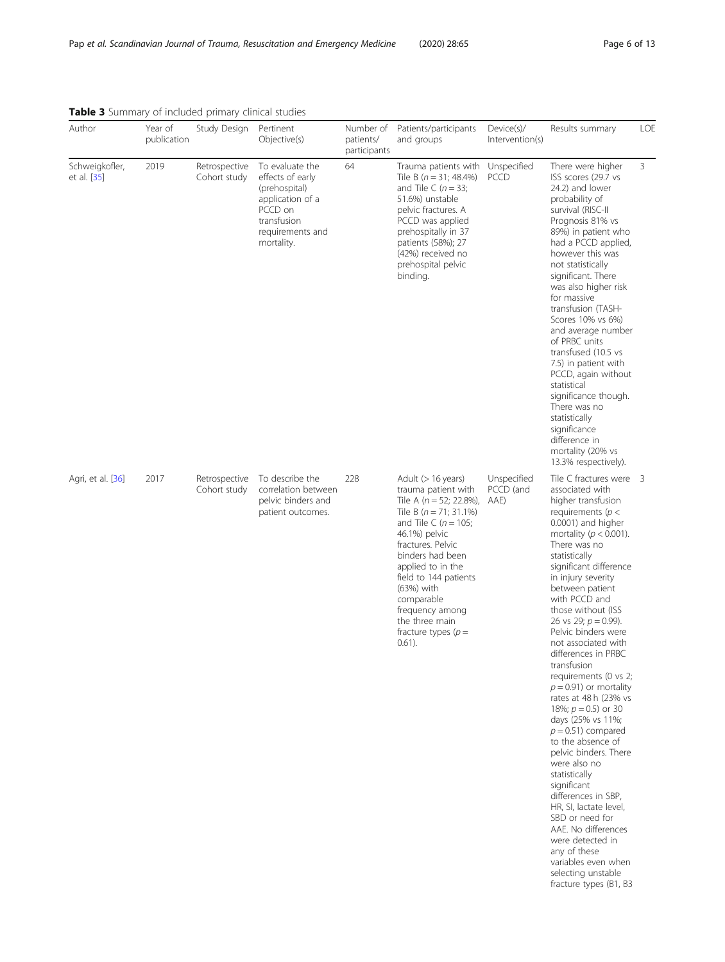<span id="page-5-0"></span>

| Table 3 Summary of included primary clinical studies |
|------------------------------------------------------|
|------------------------------------------------------|

| Author                        | Year of<br>publication | Study Design                  | Pertinent<br>Objective(s)                                                                                                            | Number of<br>patients/<br>participants | Patients/participants<br>and groups                                                                                                                                                                                                                                                                                                                | Device(s)/<br>Intervention(s)    | Results summary                                                                                                                                                                                                                                                                                                                                                                                                                                                                                                                                                                                                                                                                                                                                                                                                                                                  | LOE |
|-------------------------------|------------------------|-------------------------------|--------------------------------------------------------------------------------------------------------------------------------------|----------------------------------------|----------------------------------------------------------------------------------------------------------------------------------------------------------------------------------------------------------------------------------------------------------------------------------------------------------------------------------------------------|----------------------------------|------------------------------------------------------------------------------------------------------------------------------------------------------------------------------------------------------------------------------------------------------------------------------------------------------------------------------------------------------------------------------------------------------------------------------------------------------------------------------------------------------------------------------------------------------------------------------------------------------------------------------------------------------------------------------------------------------------------------------------------------------------------------------------------------------------------------------------------------------------------|-----|
| Schweigkofler,<br>et al. [35] | 2019                   | Retrospective<br>Cohort study | To evaluate the<br>effects of early<br>(prehospital)<br>application of a<br>PCCD on<br>transfusion<br>requirements and<br>mortality. | 64                                     | Trauma patients with<br>Tile B ( $n = 31$ ; 48.4%)<br>and Tile C ( $n = 33$ ;<br>51.6%) unstable<br>pelvic fractures. A<br>PCCD was applied<br>prehospitally in 37<br>patients (58%); 27<br>(42%) received no<br>prehospital pelvic<br>binding.                                                                                                    | Unspecified<br>PCCD              | There were higher<br>ISS scores (29.7 vs<br>24.2) and lower<br>probability of<br>survival (RISC-II<br>Prognosis 81% vs<br>89%) in patient who<br>had a PCCD applied,<br>however this was<br>not statistically<br>significant. There<br>was also higher risk<br>for massive<br>transfusion (TASH-<br>Scores 10% vs 6%)<br>and average number<br>of PRBC units<br>transfused (10.5 vs<br>7.5) in patient with<br>PCCD, again without<br>statistical<br>significance though.<br>There was no<br>statistically<br>significance<br>difference in<br>mortality (20% vs<br>13.3% respectively).                                                                                                                                                                                                                                                                         | 3   |
| Agri, et al. [36]             | 2017                   | Retrospective<br>Cohort study | To describe the<br>correlation between<br>pelvic binders and<br>patient outcomes.                                                    | 228                                    | Adult (> 16 years)<br>trauma patient with<br>Tile A ( $n = 52$ ; 22.8%),<br>Tile B ( $n = 71$ ; 31.1%)<br>and Tile C ( $n = 105$ ;<br>46.1%) pelvic<br>fractures. Pelvic<br>binders had been<br>applied to in the<br>field to 144 patients<br>(63%) with<br>comparable<br>frequency among<br>the three main<br>fracture types ( $p =$<br>$0.61$ ). | Unspecified<br>PCCD (and<br>AAE) | Tile C fractures were 3<br>associated with<br>higher transfusion<br>requirements $(p <$<br>0.0001) and higher<br>mortality ( $p < 0.001$ ).<br>There was no<br>statistically<br>significant difference<br>in injury severity<br>between patient<br>with PCCD and<br>those without (ISS<br>26 vs 29; $p = 0.99$ ).<br>Pelvic binders were<br>not associated with<br>differences in PRBC<br>transfusion<br>requirements (0 vs 2;<br>$p = 0.91$ ) or mortality<br>rates at 48 h (23% vs<br>18%; $p = 0.5$ ) or 30<br>days (25% vs 11%;<br>$p = 0.51$ ) compared<br>to the absence of<br>pelvic binders. There<br>were also no<br>statistically<br>significant<br>differences in SBP,<br>HR, SI, lactate level,<br>SBD or need for<br>AAE. No differences<br>were detected in<br>any of these<br>variables even when<br>selecting unstable<br>fracture types (B1, B3 |     |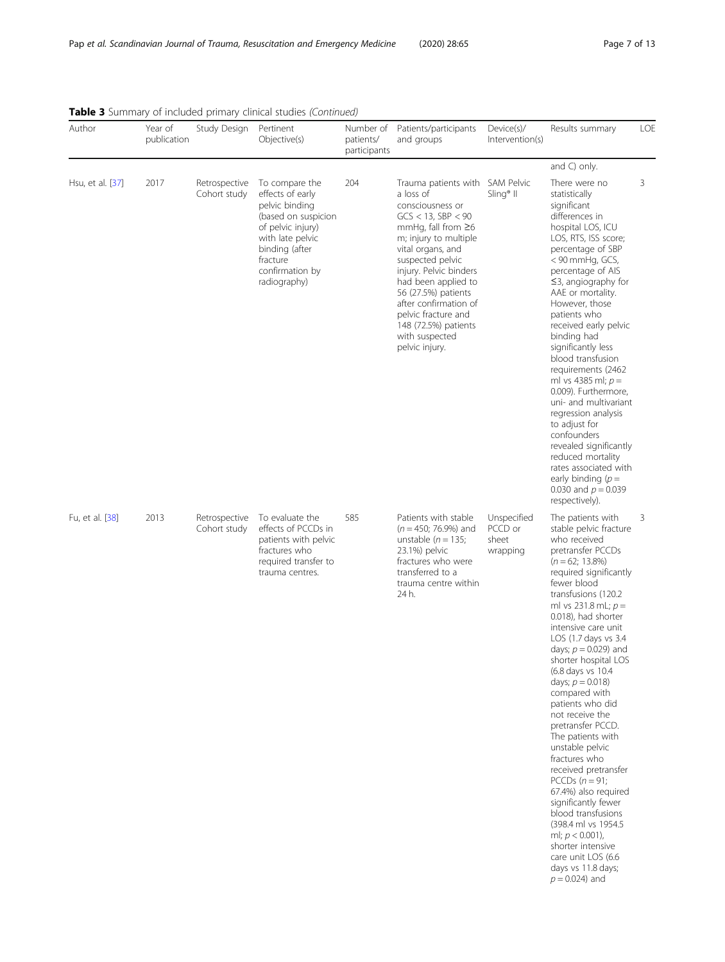| Author           | Year of<br>publication | Study Design                  | Pertinent<br>Objective(s)                                                                                                                                                             | Number of<br>patients/<br>participants | Patients/participants<br>and groups                                                                                                                                                                                                                                                                                                                                           | Device(s)/<br>Intervention(s)               | Results summary                                                                                                                                                                                                                                                                                                                                                                                                                                                                                                                                                                                                                                                                                                                                               | LOE |
|------------------|------------------------|-------------------------------|---------------------------------------------------------------------------------------------------------------------------------------------------------------------------------------|----------------------------------------|-------------------------------------------------------------------------------------------------------------------------------------------------------------------------------------------------------------------------------------------------------------------------------------------------------------------------------------------------------------------------------|---------------------------------------------|---------------------------------------------------------------------------------------------------------------------------------------------------------------------------------------------------------------------------------------------------------------------------------------------------------------------------------------------------------------------------------------------------------------------------------------------------------------------------------------------------------------------------------------------------------------------------------------------------------------------------------------------------------------------------------------------------------------------------------------------------------------|-----|
|                  |                        |                               |                                                                                                                                                                                       |                                        |                                                                                                                                                                                                                                                                                                                                                                               |                                             | and C) only.                                                                                                                                                                                                                                                                                                                                                                                                                                                                                                                                                                                                                                                                                                                                                  |     |
| Hsu, et al. [37] | 2017                   | Retrospective<br>Cohort study | To compare the<br>effects of early<br>pelvic binding<br>(based on suspicion<br>of pelvic injury)<br>with late pelvic<br>binding (after<br>fracture<br>confirmation by<br>radiography) | 204                                    | Trauma patients with SAM Pelvic<br>a loss of<br>consciousness or<br>$GCS < 13$ , SBP $< 90$<br>mmHg, fall from $\geq 6$<br>m; injury to multiple<br>vital organs, and<br>suspected pelvic<br>injury. Pelvic binders<br>had been applied to<br>56 (27.5%) patients<br>after confirmation of<br>pelvic fracture and<br>148 (72.5%) patients<br>with suspected<br>pelvic injury. | $Sling®$ II                                 | There were no<br>statistically<br>significant<br>differences in<br>hospital LOS, ICU<br>LOS, RTS, ISS score;<br>percentage of SBP<br>< 90 mmHg, GCS,<br>percentage of AIS<br>$\leq$ 3, angiography for<br>AAE or mortality.<br>However, those<br>patients who<br>received early pelvic<br>binding had<br>significantly less<br>blood transfusion<br>requirements (2462<br>ml vs 4385 ml; $p =$<br>0.009). Furthermore.<br>uni- and multivariant<br>regression analysis<br>to adjust for<br>confounders<br>revealed significantly<br>reduced mortality<br>rates associated with<br>early binding $(p =$<br>0.030 and $p = 0.039$<br>respectively).                                                                                                             | 3   |
| Fu, et al. [38]  | 2013                   | Retrospective<br>Cohort study | To evaluate the<br>effects of PCCDs in<br>patients with pelvic<br>fractures who<br>required transfer to<br>trauma centres.                                                            | 585                                    | Patients with stable<br>$(n = 450; 76.9%)$ and<br>unstable ( $n = 135$ ;<br>23.1%) pelvic<br>fractures who were<br>transferred to a<br>trauma centre within<br>24 h.                                                                                                                                                                                                          | Unspecified<br>PCCD or<br>sheet<br>wrapping | The patients with<br>stable pelvic fracture<br>who received<br>pretransfer PCCDs<br>$(n = 62; 13.8\%)$<br>required significantly<br>fewer blood<br>transfusions (120.2<br>ml vs 231.8 mL; $p =$<br>0.018), had shorter<br>intensive care unit<br>LOS (1.7 days vs 3.4<br>days; $p = 0.029$ ) and<br>shorter hospital LOS<br>(6.8 days vs 10.4<br>days; $p = 0.018$ )<br>compared with<br>patients who did<br>not receive the<br>pretransfer PCCD.<br>The patients with<br>unstable pelvic<br>fractures who<br>received pretransfer<br>PCCDs $(n=91;$<br>67.4%) also required<br>significantly fewer<br>blood transfusions<br>(398.4 ml vs 1954.5)<br>ml; $p < 0.001$ ),<br>shorter intensive<br>care unit LOS (6.6<br>days vs 11.8 days;<br>$p = 0.024$ ) and | 3   |

| <b>Table 3</b> Summary of included primary clinical studies (Continued) |  |  |  |
|-------------------------------------------------------------------------|--|--|--|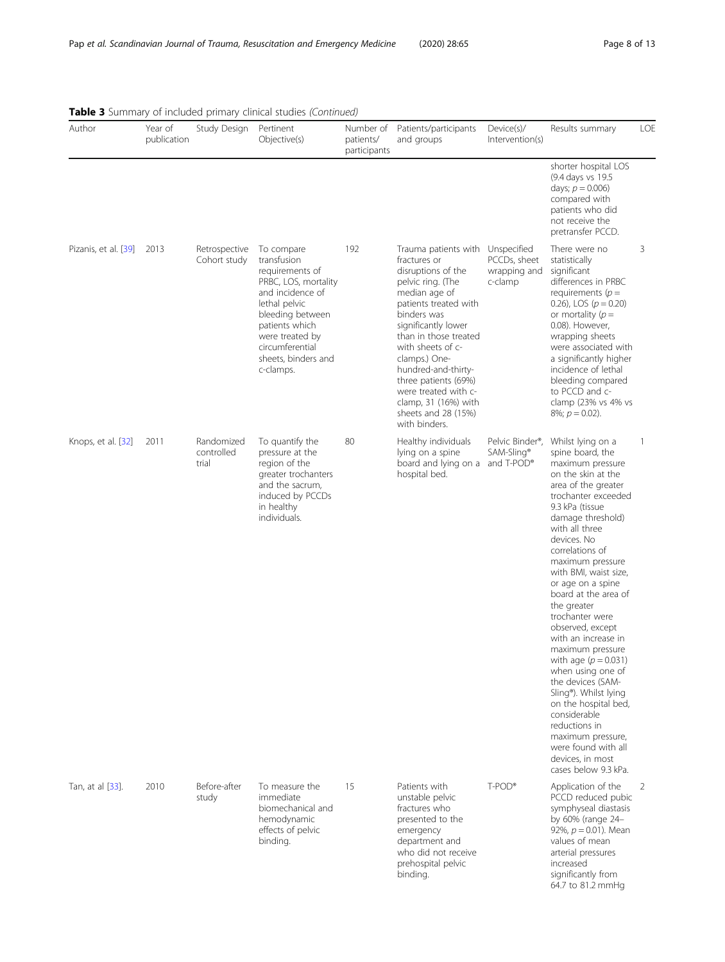64.7 to 81.2 mmHg

| Author               | Year of<br>publication | Study Design                      | Pertinent<br>Objective(s)                                                                                                                                                                                                 | Number of<br>patients/<br>participants | Patients/participants<br>and groups                                                                                                                                                                                                                                                                                                                                               | Device(s)/<br>Intervention(s)           | Results summary                                                                                                                                                                                                                                                                                                                                                                                                                                                                                                                                                                                                                                                                 | LOE          |
|----------------------|------------------------|-----------------------------------|---------------------------------------------------------------------------------------------------------------------------------------------------------------------------------------------------------------------------|----------------------------------------|-----------------------------------------------------------------------------------------------------------------------------------------------------------------------------------------------------------------------------------------------------------------------------------------------------------------------------------------------------------------------------------|-----------------------------------------|---------------------------------------------------------------------------------------------------------------------------------------------------------------------------------------------------------------------------------------------------------------------------------------------------------------------------------------------------------------------------------------------------------------------------------------------------------------------------------------------------------------------------------------------------------------------------------------------------------------------------------------------------------------------------------|--------------|
|                      |                        |                                   |                                                                                                                                                                                                                           |                                        |                                                                                                                                                                                                                                                                                                                                                                                   |                                         | shorter hospital LOS<br>(9.4 days vs 19.5)<br>days; $p = 0.006$ )<br>compared with<br>patients who did<br>not receive the<br>pretransfer PCCD.                                                                                                                                                                                                                                                                                                                                                                                                                                                                                                                                  |              |
| Pizanis, et al. [39] | 2013                   | Retrospective<br>Cohort study     | To compare<br>transfusion<br>requirements of<br>PRBC, LOS, mortality<br>and incidence of<br>lethal pelvic<br>bleeding between<br>patients which<br>were treated by<br>circumferential<br>sheets, binders and<br>c-clamps. | 192                                    | Trauma patients with Unspecified<br>fractures or<br>disruptions of the<br>pelvic ring. (The<br>median age of<br>patients treated with<br>binders was<br>significantly lower<br>than in those treated<br>with sheets of c-<br>clamps.) One-<br>hundred-and-thirty-<br>three patients (69%)<br>were treated with c-<br>clamp, 31 (16%) with<br>sheets and 28 (15%)<br>with binders. | PCCDs, sheet<br>wrapping and<br>c-clamp | There were no<br>statistically<br>significant<br>differences in PRBC<br>requirements ( $p =$<br>0.26), LOS $(p = 0.20)$<br>or mortality $(p =$<br>0.08). However,<br>wrapping sheets<br>were associated with<br>a significantly higher<br>incidence of lethal<br>bleeding compared<br>to PCCD and c-<br>clamp (23% vs 4% vs<br>8%; $p = 0.02$ ).                                                                                                                                                                                                                                                                                                                                | 3            |
| Knops, et al. [32]   | 2011                   | Randomized<br>controlled<br>trial | To quantify the<br>pressure at the<br>region of the<br>greater trochanters<br>and the sacrum,<br>induced by PCCDs<br>in healthy<br>individuals.                                                                           | 80                                     | Healthy individuals<br>lying on a spine<br>board and lying on a and T-POD®<br>hospital bed.                                                                                                                                                                                                                                                                                       | Pelvic Binder®,<br>SAM-Sling®           | Whilst lying on a<br>spine board, the<br>maximum pressure<br>on the skin at the<br>area of the greater<br>trochanter exceeded<br>9.3 kPa (tissue<br>damage threshold)<br>with all three<br>devices. No<br>correlations of<br>maximum pressure<br>with BMI, waist size,<br>or age on a spine<br>board at the area of<br>the greater<br>trochanter were<br>observed, except<br>with an increase in<br>maximum pressure<br>with age $(p = 0.031)$<br>when using one of<br>the devices (SAM-<br>Sling <sup>®</sup> ). Whilst lying<br>on the hospital bed,<br>considerable<br>reductions in<br>maximum pressure,<br>were found with all<br>devices, in most<br>cases below 9.3 kPa. | $\mathbf{1}$ |
| Tan, at al [33].     | 2010                   | Before-after<br>study             | To measure the<br>immediate<br>biomechanical and<br>hemodynamic<br>effects of pelvic<br>binding.                                                                                                                          | 15                                     | Patients with<br>unstable pelvic<br>fractures who<br>presented to the<br>emergency<br>department and<br>who did not receive<br>prehospital pelvic<br>binding.                                                                                                                                                                                                                     | T-POD®                                  | Application of the<br>PCCD reduced pubic<br>symphyseal diastasis<br>by 60% (range 24-<br>92%, $p = 0.01$ ). Mean<br>values of mean<br>arterial pressures<br>increased<br>significantly from                                                                                                                                                                                                                                                                                                                                                                                                                                                                                     | 2            |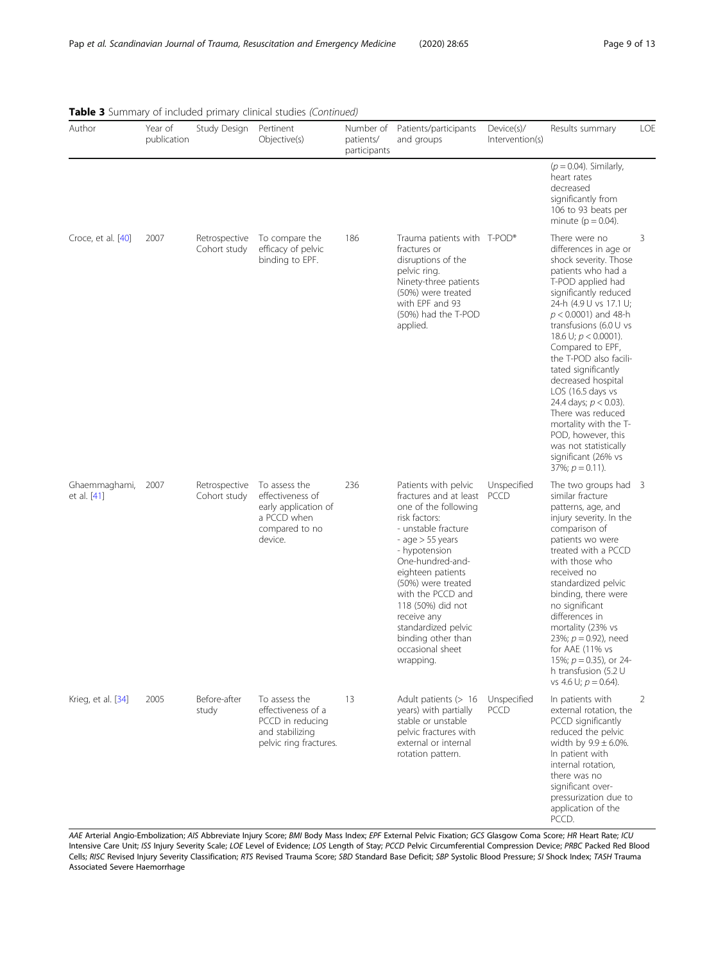| Author                       | Year of<br>publication | Study Design                  | Pertinent<br>Objective(s)                                                                             | Number of<br>patients/<br>participants | Patients/participants<br>and groups                                                                                                                                                                                                                                                                                                                         | Device(s)/<br>Intervention(s) | Results summary                                                                                                                                                                                                                                                                                                                                                                                                                                                                                                                             | LOE |
|------------------------------|------------------------|-------------------------------|-------------------------------------------------------------------------------------------------------|----------------------------------------|-------------------------------------------------------------------------------------------------------------------------------------------------------------------------------------------------------------------------------------------------------------------------------------------------------------------------------------------------------------|-------------------------------|---------------------------------------------------------------------------------------------------------------------------------------------------------------------------------------------------------------------------------------------------------------------------------------------------------------------------------------------------------------------------------------------------------------------------------------------------------------------------------------------------------------------------------------------|-----|
|                              |                        |                               |                                                                                                       |                                        |                                                                                                                                                                                                                                                                                                                                                             |                               | $(p = 0.04)$ . Similarly,<br>heart rates<br>decreased<br>significantly from<br>106 to 93 beats per<br>minute ( $p = 0.04$ ).                                                                                                                                                                                                                                                                                                                                                                                                                |     |
| Croce, et al. [40]           | 2007                   | Retrospective<br>Cohort study | To compare the<br>efficacy of pelvic<br>binding to EPF.                                               | 186                                    | Trauma patients with T-POD®<br>fractures or<br>disruptions of the<br>pelvic ring.<br>Ninety-three patients<br>(50%) were treated<br>with EPF and 93<br>(50%) had the T-POD<br>applied.                                                                                                                                                                      |                               | There were no<br>differences in age or<br>shock severity. Those<br>patients who had a<br>T-POD applied had<br>significantly reduced<br>24-h (4.9 U vs 17.1 U;<br>$p < 0.0001$ ) and 48-h<br>transfusions $(6.0 \cup vs)$<br>18.6 U; $p < 0.0001$ ).<br>Compared to EPF,<br>the T-POD also facili-<br>tated significantly<br>decreased hospital<br>$LOS$ (16.5 days vs<br>24.4 days; $p < 0.03$ ).<br>There was reduced<br>mortality with the T-<br>POD, however, this<br>was not statistically<br>significant (26% vs<br>37%; $p = 0.11$ ). | 3   |
| Ghaemmaghami,<br>et al. [41] | 2007                   | Retrospective<br>Cohort study | To assess the<br>effectiveness of<br>early application of<br>a PCCD when<br>compared to no<br>device. | 236                                    | Patients with pelvic<br>fractures and at least<br>one of the following<br>risk factors:<br>- unstable fracture<br>- age $>$ 55 years<br>- hypotension<br>One-hundred-and-<br>eighteen patients<br>(50%) were treated<br>with the PCCD and<br>118 (50%) did not<br>receive any<br>standardized pelvic<br>binding other than<br>occasional sheet<br>wrapping. | Unspecified<br>PCCD           | The two groups had 3<br>similar fracture<br>patterns, age, and<br>injury severity. In the<br>comparison of<br>patients wo were<br>treated with a PCCD<br>with those who<br>received no<br>standardized pelvic<br>binding, there were<br>no significant<br>differences in<br>mortality (23% vs<br>23%; $p = 0.92$ ), need<br>for AAE (11% vs<br>15%; $p = 0.35$ ), or 24-<br>h transfusion (5.2 U<br>vs 4.6 U; $p = 0.64$ ).                                                                                                                 |     |
| Krieg, et al. [34]           | 2005                   | Before-after<br>study         | To assess the<br>effectiveness of a<br>PCCD in reducing<br>and stabilizing<br>pelvic ring fractures.  | 13                                     | Adult patients (> 16<br>years) with partially<br>stable or unstable<br>pelvic fractures with<br>external or internal<br>rotation pattern.                                                                                                                                                                                                                   | Unspecified<br>PCCD           | In patients with<br>external rotation, the<br>PCCD significantly<br>reduced the pelvic<br>width by $9.9 \pm 6.0$ %.<br>In patient with<br>internal rotation,<br>there was no<br>significant over-<br>pressurization due to<br>application of the<br>PCCD.                                                                                                                                                                                                                                                                                   | 2   |

# Table 3 Summary of included primary clinical studies (Continued)

AAE Arterial Angio-Embolization; AIS Abbreviate Injury Score; BMI Body Mass Index; EPF External Pelvic Fixation; GCS Glasgow Coma Score; HR Heart Rate; ICU Intensive Care Unit; ISS Injury Severity Scale; LOE Level of Evidence; LOS Length of Stay; PCCD Pelvic Circumferential Compression Device; PRBC Packed Red Blood Cells; RISC Revised Injury Severity Classification; RTS Revised Trauma Score; SBD Standard Base Deficit; SBP Systolic Blood Pressure; SI Shock Index; TASH Trauma Associated Severe Haemorrhage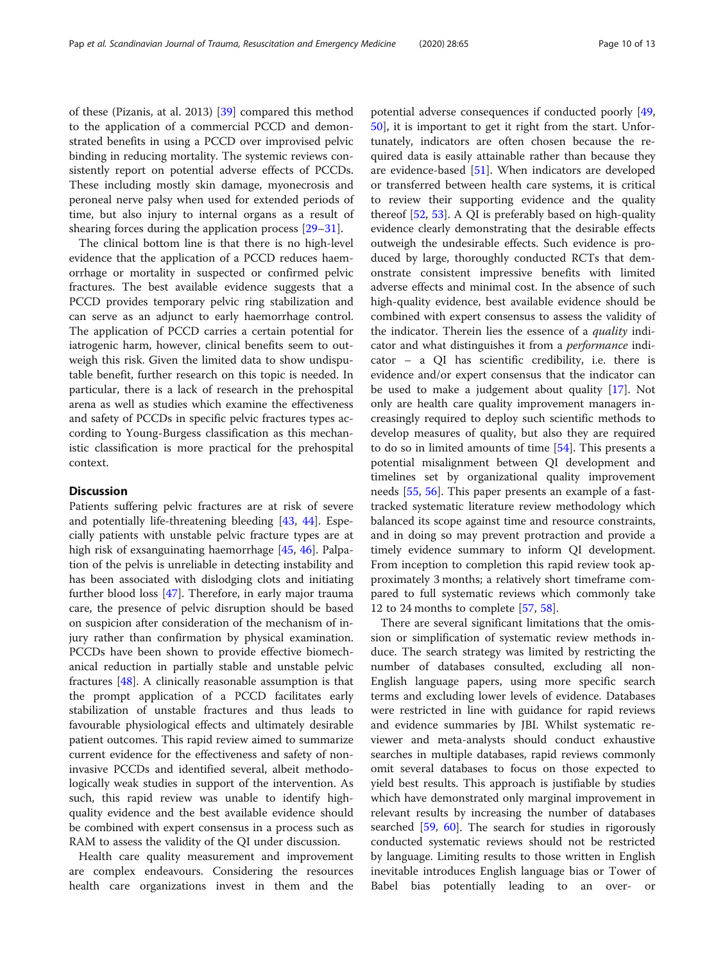of these (Pizanis, at al. 2013) [\[39](#page-11-0)] compared this method to the application of a commercial PCCD and demonstrated benefits in using a PCCD over improvised pelvic binding in reducing mortality. The systemic reviews consistently report on potential adverse effects of PCCDs. These including mostly skin damage, myonecrosis and peroneal nerve palsy when used for extended periods of time, but also injury to internal organs as a result of shearing forces during the application process [\[29](#page-11-0)–[31\]](#page-11-0).

The clinical bottom line is that there is no high-level evidence that the application of a PCCD reduces haemorrhage or mortality in suspected or confirmed pelvic fractures. The best available evidence suggests that a PCCD provides temporary pelvic ring stabilization and can serve as an adjunct to early haemorrhage control. The application of PCCD carries a certain potential for iatrogenic harm, however, clinical benefits seem to outweigh this risk. Given the limited data to show undisputable benefit, further research on this topic is needed. In particular, there is a lack of research in the prehospital arena as well as studies which examine the effectiveness and safety of PCCDs in specific pelvic fractures types according to Young-Burgess classification as this mechanistic classification is more practical for the prehospital context.

# **Discussion**

Patients suffering pelvic fractures are at risk of severe and potentially life-threatening bleeding [\[43](#page-11-0), [44](#page-11-0)]. Especially patients with unstable pelvic fracture types are at high risk of exsanguinating haemorrhage [\[45](#page-11-0), [46](#page-11-0)]. Palpation of the pelvis is unreliable in detecting instability and has been associated with dislodging clots and initiating further blood loss [\[47](#page-11-0)]. Therefore, in early major trauma care, the presence of pelvic disruption should be based on suspicion after consideration of the mechanism of injury rather than confirmation by physical examination. PCCDs have been shown to provide effective biomechanical reduction in partially stable and unstable pelvic fractures [\[48\]](#page-11-0). A clinically reasonable assumption is that the prompt application of a PCCD facilitates early stabilization of unstable fractures and thus leads to favourable physiological effects and ultimately desirable patient outcomes. This rapid review aimed to summarize current evidence for the effectiveness and safety of noninvasive PCCDs and identified several, albeit methodologically weak studies in support of the intervention. As such, this rapid review was unable to identify highquality evidence and the best available evidence should be combined with expert consensus in a process such as RAM to assess the validity of the QI under discussion.

Health care quality measurement and improvement are complex endeavours. Considering the resources health care organizations invest in them and the potential adverse consequences if conducted poorly [[49](#page-11-0), [50\]](#page-11-0), it is important to get it right from the start. Unfortunately, indicators are often chosen because the required data is easily attainable rather than because they are evidence-based [[51](#page-11-0)]. When indicators are developed or transferred between health care systems, it is critical to review their supporting evidence and the quality thereof [[52,](#page-11-0) [53\]](#page-11-0). A QI is preferably based on high-quality evidence clearly demonstrating that the desirable effects outweigh the undesirable effects. Such evidence is produced by large, thoroughly conducted RCTs that demonstrate consistent impressive benefits with limited adverse effects and minimal cost. In the absence of such high-quality evidence, best available evidence should be combined with expert consensus to assess the validity of the indicator. Therein lies the essence of a *quality* indicator and what distinguishes it from a performance indicator – a QI has scientific credibility, i.e. there is evidence and/or expert consensus that the indicator can be used to make a judgement about quality [[17\]](#page-11-0). Not only are health care quality improvement managers increasingly required to deploy such scientific methods to develop measures of quality, but also they are required to do so in limited amounts of time [[54\]](#page-11-0). This presents a potential misalignment between QI development and timelines set by organizational quality improvement needs [\[55](#page-11-0), [56](#page-11-0)]. This paper presents an example of a fasttracked systematic literature review methodology which balanced its scope against time and resource constraints, and in doing so may prevent protraction and provide a timely evidence summary to inform QI development. From inception to completion this rapid review took approximately 3 months; a relatively short timeframe compared to full systematic reviews which commonly take 12 to 24 months to complete [\[57,](#page-11-0) [58\]](#page-11-0).

There are several significant limitations that the omission or simplification of systematic review methods induce. The search strategy was limited by restricting the number of databases consulted, excluding all non-English language papers, using more specific search terms and excluding lower levels of evidence. Databases were restricted in line with guidance for rapid reviews and evidence summaries by JBI. Whilst systematic reviewer and meta-analysts should conduct exhaustive searches in multiple databases, rapid reviews commonly omit several databases to focus on those expected to yield best results. This approach is justifiable by studies which have demonstrated only marginal improvement in relevant results by increasing the number of databases searched [\[59,](#page-11-0) [60\]](#page-12-0). The search for studies in rigorously conducted systematic reviews should not be restricted by language. Limiting results to those written in English inevitable introduces English language bias or Tower of Babel bias potentially leading to an over- or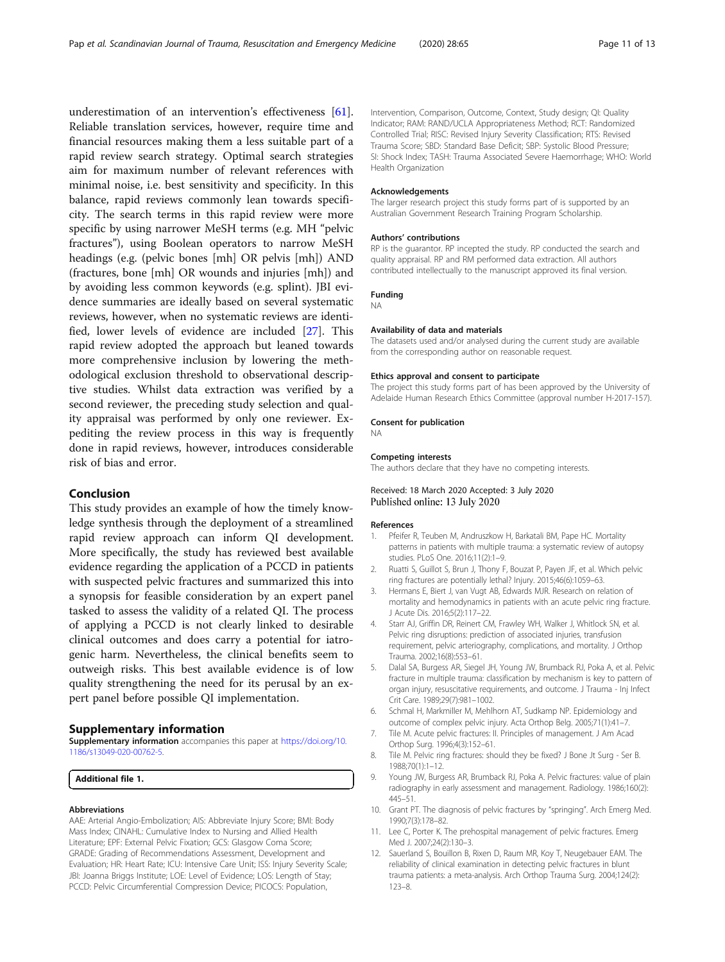<span id="page-10-0"></span>underestimation of an intervention's effectiveness [\[61](#page-12-0)]. Reliable translation services, however, require time and financial resources making them a less suitable part of a rapid review search strategy. Optimal search strategies aim for maximum number of relevant references with minimal noise, i.e. best sensitivity and specificity. In this balance, rapid reviews commonly lean towards specificity. The search terms in this rapid review were more specific by using narrower MeSH terms (e.g. MH "pelvic fractures"), using Boolean operators to narrow MeSH headings (e.g. (pelvic bones [mh] OR pelvis [mh]) AND (fractures, bone [mh] OR wounds and injuries [mh]) and by avoiding less common keywords (e.g. splint). JBI evidence summaries are ideally based on several systematic reviews, however, when no systematic reviews are identified, lower levels of evidence are included [[27](#page-11-0)]. This rapid review adopted the approach but leaned towards more comprehensive inclusion by lowering the methodological exclusion threshold to observational descriptive studies. Whilst data extraction was verified by a second reviewer, the preceding study selection and quality appraisal was performed by only one reviewer. Expediting the review process in this way is frequently done in rapid reviews, however, introduces considerable risk of bias and error.

# Conclusion

This study provides an example of how the timely knowledge synthesis through the deployment of a streamlined rapid review approach can inform QI development. More specifically, the study has reviewed best available evidence regarding the application of a PCCD in patients with suspected pelvic fractures and summarized this into a synopsis for feasible consideration by an expert panel tasked to assess the validity of a related QI. The process of applying a PCCD is not clearly linked to desirable clinical outcomes and does carry a potential for iatrogenic harm. Nevertheless, the clinical benefits seem to outweigh risks. This best available evidence is of low quality strengthening the need for its perusal by an expert panel before possible QI implementation.

## Supplementary information

Supplementary information accompanies this paper at [https://doi.org/10.](https://doi.org/10.1186/s13049-020-00762-5) [1186/s13049-020-00762-5](https://doi.org/10.1186/s13049-020-00762-5).

Additional file 1.

#### Abbreviations

AAE: Arterial Angio-Embolization; AIS: Abbreviate Injury Score; BMI: Body Mass Index; CINAHL: Cumulative Index to Nursing and Allied Health Literature; EPF: External Pelvic Fixation; GCS: Glasgow Coma Score; GRADE: Grading of Recommendations Assessment, Development and Evaluation; HR: Heart Rate; ICU: Intensive Care Unit; ISS: Injury Severity Scale; JBI: Joanna Briggs Institute; LOE: Level of Evidence; LOS: Length of Stay; PCCD: Pelvic Circumferential Compression Device; PICOCS: Population,

Intervention, Comparison, Outcome, Context, Study design; QI: Quality Indicator; RAM: RAND/UCLA Appropriateness Method; RCT: Randomized Controlled Trial; RISC: Revised Injury Severity Classification; RTS: Revised Trauma Score; SBD: Standard Base Deficit; SBP: Systolic Blood Pressure; SI: Shock Index; TASH: Trauma Associated Severe Haemorrhage; WHO: World Health Organization

#### Acknowledgements

The larger research project this study forms part of is supported by an Australian Government Research Training Program Scholarship.

#### Authors' contributions

RP is the guarantor. RP incepted the study. RP conducted the search and quality appraisal. RP and RM performed data extraction. All authors contributed intellectually to the manuscript approved its final version.

# Funding

NA

# Availability of data and materials

The datasets used and/or analysed during the current study are available from the corresponding author on reasonable request.

#### Ethics approval and consent to participate

The project this study forms part of has been approved by the University of Adelaide Human Research Ethics Committee (approval number H-2017-157).

#### Consent for publication

NA

#### Competing interests

The authors declare that they have no competing interests.

Received: 18 March 2020 Accepted: 3 July 2020 Published online: 13 July 2020

#### References

- 1. Pfeifer R, Teuben M, Andruszkow H, Barkatali BM, Pape HC. Mortality patterns in patients with multiple trauma: a systematic review of autopsy studies. PLoS One. 2016;11(2):1–9.
- 2. Ruatti S, Guillot S, Brun J, Thony F, Bouzat P, Payen JF, et al. Which pelvic ring fractures are potentially lethal? Injury. 2015;46(6):1059–63.
- 3. Hermans E, Biert J, van Vugt AB, Edwards MJR. Research on relation of mortality and hemodynamics in patients with an acute pelvic ring fracture. J Acute Dis. 2016;5(2):117–22.
- 4. Starr AJ, Griffin DR, Reinert CM, Frawley WH, Walker J, Whitlock SN, et al. Pelvic ring disruptions: prediction of associated injuries, transfusion requirement, pelvic arteriography, complications, and mortality. J Orthop Trauma. 2002;16(8):553–61.
- 5. Dalal SA, Burgess AR, Siegel JH, Young JW, Brumback RJ, Poka A, et al. Pelvic fracture in multiple trauma: classification by mechanism is key to pattern of organ injury, resuscitative requirements, and outcome. J Trauma - Inj Infect Crit Care. 1989;29(7):981–1002.
- 6. Schmal H, Markmiller M, Mehlhorn AT, Sudkamp NP. Epidemiology and outcome of complex pelvic injury. Acta Orthop Belg. 2005;71(1):41–7.
- 7. Tile M. Acute pelvic fractures: II. Principles of management. J Am Acad Orthop Surg. 1996;4(3):152–61.
- 8. Tile M. Pelvic ring fractures: should they be fixed? J Bone Jt Surg Ser B. 1988;70(1):1–12.
- 9. Young JW, Burgess AR, Brumback RJ, Poka A. Pelvic fractures: value of plain radiography in early assessment and management. Radiology. 1986;160(2): 445–51.
- 10. Grant PT. The diagnosis of pelvic fractures by "springing". Arch Emerg Med. 1990;7(3):178–82.
- 11. Lee C, Porter K. The prehospital management of pelvic fractures. Emerg Med J. 2007;24(2):130–3.
- 12. Sauerland S, Bouillon B, Rixen D, Raum MR, Koy T, Neugebauer EAM. The reliability of clinical examination in detecting pelvic fractures in blunt trauma patients: a meta-analysis. Arch Orthop Trauma Surg. 2004;124(2): 123–8.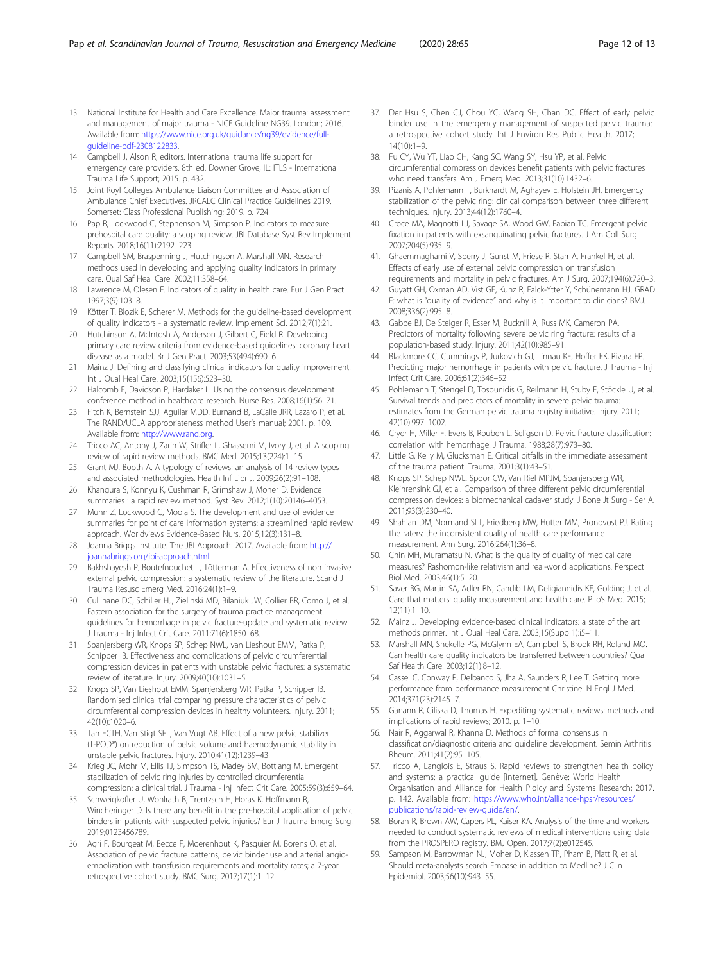- <span id="page-11-0"></span>13. National Institute for Health and Care Excellence. Major trauma: assessment and management of major trauma - NICE Guideline NG39. London; 2016. Available from: [https://www.nice.org.uk/guidance/ng39/evidence/full](https://www.nice.org.uk/guidance/ng39/evidence/full-guideline-pdf-2308122833)[guideline-pdf-2308122833](https://www.nice.org.uk/guidance/ng39/evidence/full-guideline-pdf-2308122833).
- 14. Campbell J, Alson R, editors. International trauma life support for emergency care providers. 8th ed. Downer Grove, IL: ITLS - International Trauma Life Support; 2015. p. 432.
- 15. Joint Royl Colleges Ambulance Liaison Committee and Association of Ambulance Chief Executives. JRCALC Clinical Practice Guidelines 2019. Somerset: Class Professional Publishing; 2019. p. 724.
- 16. Pap R, Lockwood C, Stephenson M, Simpson P. Indicators to measure prehospital care quality: a scoping review. JBI Database Syst Rev Implement Reports. 2018;16(11):2192–223.
- 17. Campbell SM, Braspenning J, Hutchingson A, Marshall MN. Research methods used in developing and applying quality indicators in primary care. Qual Saf Heal Care. 2002;11:358–64.
- 18. Lawrence M, Olesen F. Indicators of quality in health care. Eur J Gen Pract. 1997;3(9):103–8.
- 19. Kötter T, Blozik E, Scherer M. Methods for the guideline-based development of quality indicators - a systematic review. Implement Sci. 2012;7(1):21.
- 20. Hutchinson A, McIntosh A, Anderson J, Gilbert C, Field R. Developing primary care review criteria from evidence-based guidelines: coronary heart disease as a model. Br J Gen Pract. 2003;53(494):690–6.
- 21. Mainz J. Defining and classifying clinical indicators for quality improvement. Int J Qual Heal Care. 2003;15(156):523–30.
- 22. Halcomb E, Davidson P, Hardaker L. Using the consensus development conference method in healthcare research. Nurse Res. 2008;16(1):56–71.
- 23. Fitch K, Bernstein SJJ, Aguilar MDD, Burnand B, LaCalle JRR, Lazaro P, et al. The RAND/UCLA appropriateness method User's manual; 2001. p. 109. Available from: [http://www.rand.org.](http://www.rand.org)
- 24. Tricco AC, Antony J, Zarin W, Strifler L, Ghassemi M, Ivory J, et al. A scoping review of rapid review methods. BMC Med. 2015;13(224):1–15.
- Grant MJ, Booth A. A typology of reviews: an analysis of 14 review types and associated methodologies. Health Inf Libr J. 2009;26(2):91–108.
- 26. Khangura S, Konnyu K, Cushman R, Grimshaw J, Moher D. Evidence summaries : a rapid review method. Syst Rev. 2012;1(10):20146–4053.
- 27. Munn Z, Lockwood C, Moola S. The development and use of evidence summaries for point of care information systems: a streamlined rapid review approach. Worldviews Evidence-Based Nurs. 2015;12(3):131–8.
- Joanna Briggs Institute. The JBI Approach. 2017. Available from: [http://](http://joannabriggs.org/jbi-approach.html) [joannabriggs.org/jbi-approach.html](http://joannabriggs.org/jbi-approach.html).
- 29. Bakhshayesh P, Boutefnouchet T, Tötterman A. Effectiveness of non invasive external pelvic compression: a systematic review of the literature. Scand J Trauma Resusc Emerg Med. 2016;24(1):1–9.
- 30. Cullinane DC, Schiller HJ, Zielinski MD, Bilaniuk JW, Collier BR, Como J, et al. Eastern association for the surgery of trauma practice management guidelines for hemorrhage in pelvic fracture-update and systematic review. J Trauma - Inj Infect Crit Care. 2011;71(6):1850–68.
- 31. Spanjersberg WR, Knops SP, Schep NWL, van Lieshout EMM, Patka P, Schipper IB. Effectiveness and complications of pelvic circumferential compression devices in patients with unstable pelvic fractures: a systematic review of literature. Injury. 2009;40(10):1031–5.
- 32. Knops SP, Van Lieshout EMM, Spanjersberg WR, Patka P, Schipper IB. Randomised clinical trial comparing pressure characteristics of pelvic circumferential compression devices in healthy volunteers. Injury. 2011; 42(10):1020–6.
- 33. Tan ECTH, Van Stigt SFL, Van Vugt AB. Effect of a new pelvic stabilizer (T-POD®) on reduction of pelvic volume and haemodynamic stability in unstable pelvic fractures. Injury. 2010;41(12):1239–43.
- 34. Krieg JC, Mohr M, Ellis TJ, Simpson TS, Madey SM, Bottlang M. Emergent stabilization of pelvic ring injuries by controlled circumferential compression: a clinical trial. J Trauma - Inj Infect Crit Care. 2005;59(3):659–64.
- 35. Schweigkofler U, Wohlrath B, Trentzsch H, Horas K, Hoffmann R, Wincheringer D. Is there any benefit in the pre-hospital application of pelvic binders in patients with suspected pelvic injuries? Eur J Trauma Emerg Surg. 2019;0123456789..
- 36. Agri F, Bourgeat M, Becce F, Moerenhout K, Pasquier M, Borens O, et al. Association of pelvic fracture patterns, pelvic binder use and arterial angioembolization with transfusion requirements and mortality rates; a 7-year retrospective cohort study. BMC Surg. 2017;17(1):1–12.
- 37. Der Hsu S, Chen CJ, Chou YC, Wang SH, Chan DC. Effect of early pelvic binder use in the emergency management of suspected pelvic trauma: a retrospective cohort study. Int J Environ Res Public Health. 2017;  $14(10):1-9$ .
- 38. Fu CY, Wu YT, Liao CH, Kang SC, Wang SY, Hsu YP, et al. Pelvic circumferential compression devices benefit patients with pelvic fractures who need transfers. Am J Emerg Med. 2013;31(10):1432–6.
- 39. Pizanis A, Pohlemann T, Burkhardt M, Aghayev E, Holstein JH. Emergency stabilization of the pelvic ring: clinical comparison between three different techniques. Injury. 2013;44(12):1760–4.
- 40. Croce MA, Magnotti LJ, Savage SA, Wood GW, Fabian TC. Emergent pelvic fixation in patients with exsanguinating pelvic fractures. J Am Coll Surg. 2007;204(5):935–9.
- 41. Ghaemmaghami V, Sperry J, Gunst M, Friese R, Starr A, Frankel H, et al. Effects of early use of external pelvic compression on transfusion requirements and mortality in pelvic fractures. Am J Surg. 2007;194(6):720–3.
- 42. Guyatt GH, Oxman AD, Vist GE, Kunz R, Falck-Ytter Y, Schünemann HJ. GRAD E: what is "quality of evidence" and why is it important to clinicians? BMJ. 2008;336(2):995–8.
- 43. Gabbe BJ, De Steiger R, Esser M, Bucknill A, Russ MK, Cameron PA. Predictors of mortality following severe pelvic ring fracture: results of a population-based study. Injury. 2011;42(10):985–91.
- 44. Blackmore CC, Cummings P, Jurkovich GJ, Linnau KF, Hoffer EK, Rivara FP. Predicting major hemorrhage in patients with pelvic fracture. J Trauma - Inj Infect Crit Care. 2006;61(2):346–52.
- 45. Pohlemann T, Stengel D, Tosounidis G, Reilmann H, Stuby F, Stöckle U, et al. Survival trends and predictors of mortality in severe pelvic trauma: estimates from the German pelvic trauma registry initiative. Injury. 2011; 42(10):997–1002.
- 46. Cryer H, Miller F, Evers B, Rouben L, Seligson D. Pelvic fracture classification: correlation with hemorrhage. J Trauma. 1988;28(7):973–80.
- 47. Little G, Kelly M, Glucksman E. Critical pitfalls in the immediate assessment of the trauma patient. Trauma. 2001;3(1):43–51.
- 48. Knops SP, Schep NWL, Spoor CW, Van Riel MPJM, Spanjersberg WR, Kleinrensink GJ, et al. Comparison of three different pelvic circumferential compression devices: a biomechanical cadaver study. J Bone Jt Surg - Ser A. 2011;93(3):230–40.
- 49. Shahian DM, Normand SLT, Friedberg MW, Hutter MM, Pronovost PJ. Rating the raters: the inconsistent quality of health care performance measurement. Ann Surg. 2016;264(1):36–8.
- 50. Chin MH, Muramatsu N. What is the quality of quality of medical care measures? Rashomon-like relativism and real-world applications. Perspect Biol Med. 2003;46(1):5–20.
- 51. Saver BG, Martin SA, Adler RN, Candib LM, Deligiannidis KE, Golding J, et al. Care that matters: quality measurement and health care. PLoS Med. 2015; 12(11):1–10.
- 52. Mainz J. Developing evidence-based clinical indicators: a state of the art methods primer. Int J Qual Heal Care. 2003;15(Supp 1):i5–11.
- 53. Marshall MN, Shekelle PG, McGlynn EA, Campbell S, Brook RH, Roland MO. Can health care quality indicators be transferred between countries? Qual Saf Health Care. 2003;12(1):8–12.
- 54. Cassel C, Conway P, Delbanco S, Jha A, Saunders R, Lee T. Getting more performance from performance measurement Christine. N Engl J Med. 2014;371(23):2145–7.
- 55. Ganann R, Ciliska D, Thomas H. Expediting systematic reviews: methods and implications of rapid reviews; 2010. p. 1–10.
- 56. Nair R, Aggarwal R, Khanna D. Methods of formal consensus in classification/diagnostic criteria and guideline development. Semin Arthritis Rheum. 2011;41(2):95–105.
- 57. Tricco A, Langlois E, Straus S. Rapid reviews to strengthen health policy and systems: a practical guide [internet]. Genève: World Health Organisation and Alliance for Health Ploicy and Systems Research; 2017. p. 142. Available from: [https://www.who.int/alliance-hpsr/resources/](https://www.who.int/alliance-hpsr/resources/publications/rapid-review-guide/en/) [publications/rapid-review-guide/en/.](https://www.who.int/alliance-hpsr/resources/publications/rapid-review-guide/en/)
- 58. Borah R, Brown AW, Capers PL, Kaiser KA. Analysis of the time and workers needed to conduct systematic reviews of medical interventions using data from the PROSPERO registry. BMJ Open. 2017;7(2):e012545.
- 59. Sampson M, Barrowman NJ, Moher D, Klassen TP, Pham B, Platt R, et al. Should meta-analysts search Embase in addition to Medline? J Clin Epidemiol. 2003;56(10):943–55.